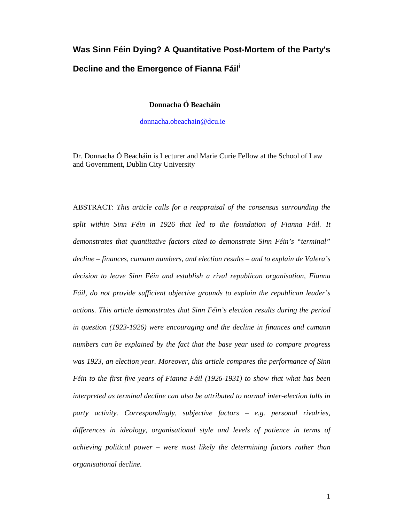# **Was Sinn Féin Dying? A Quantitative Post-Mortem of the Party's**  Decline and the Emergence of Fianna Fáil<sup>'</sup>

 **Donnacha Ó Beacháin**

donnacha.obeachain@dcu.ie

Dr. Donnacha Ó Beacháin is Lecturer and Marie Curie Fellow at the School of Law and Government, Dublin City University

ABSTRACT: *This article calls for a reappraisal of the consensus surrounding the split within Sinn Féin in 1926 that led to the foundation of Fianna Fáil. It demonstrates that quantitative factors cited to demonstrate Sinn Féin's "terminal" decline – finances, cumann numbers, and election results – and to explain de Valera's decision to leave Sinn Féin and establish a rival republican organisation, Fianna Fáil, do not provide sufficient objective grounds to explain the republican leader's actions. This article demonstrates that Sinn Féin's election results during the period in question (1923-1926) were encouraging and the decline in finances and cumann numbers can be explained by the fact that the base year used to compare progress was 1923, an election year. Moreover, this article compares the performance of Sinn Féin to the first five years of Fianna Fáil (1926-1931) to show that what has been interpreted as terminal decline can also be attributed to normal inter-election lulls in party activity. Correspondingly, subjective factors – e.g. personal rivalries, differences in ideology, organisational style and levels of patience in terms of achieving political power – were most likely the determining factors rather than organisational decline.*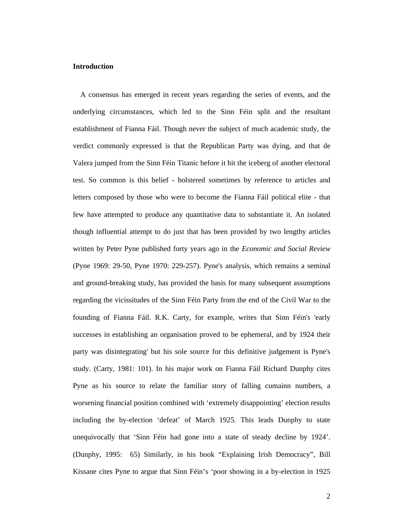#### **Introduction**

 A consensus has emerged in recent years regarding the series of events, and the underlying circumstances, which led to the Sinn Féin split and the resultant establishment of Fianna Fáil. Though never the subject of much academic study, the verdict commonly expressed is that the Republican Party was dying, and that de Valera jumped from the Sinn Féin Titanic before it hit the iceberg of another electoral test. So common is this belief - bolstered sometimes by reference to articles and letters composed by those who were to become the Fianna Fáil political elite - that few have attempted to produce any quantitative data to substantiate it. An isolated though influential attempt to do just that has been provided by two lengthy articles written by Peter Pyne published forty years ago in the *Economic and Social Review* (Pyne 1969: 29-50, Pyne 1970: 229-257). Pyne's analysis, which remains a seminal and ground-breaking study, has provided the basis for many subsequent assumptions regarding the vicissitudes of the Sinn Féin Party from the end of the Civil War to the founding of Fianna Fáil. R.K. Carty, for example, writes that Sinn Féin's 'early successes in establishing an organisation proved to be ephemeral, and by 1924 their party was disintegrating' but his sole source for this definitive judgement is Pyne's study. (Carty, 1981: 101). In his major work on Fianna Fáil Richard Dunphy cites Pyne as his source to relate the familiar story of falling cumainn numbers, a worsening financial position combined with 'extremely disappointing' election results including the by-election 'defeat' of March 1925. This leads Dunphy to state unequivocally that 'Sinn Féin had gone into a state of steady decline by 1924'. (Dunphy, 1995: 65) Similarly, in his book "Explaining Irish Democracy", Bill Kissane cites Pyne to argue that Sinn Féin's 'poor showing in a by-election in 1925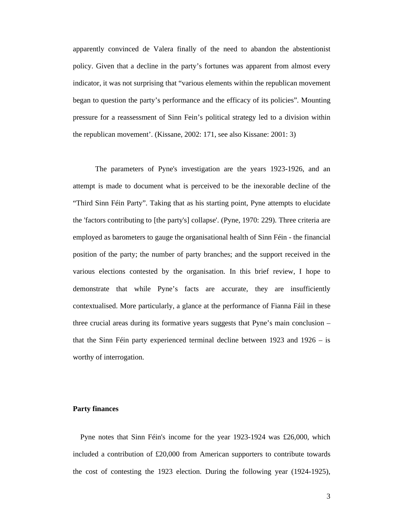apparently convinced de Valera finally of the need to abandon the abstentionist policy. Given that a decline in the party's fortunes was apparent from almost every indicator, it was not surprising that "various elements within the republican movement began to question the party's performance and the efficacy of its policies". Mounting pressure for a reassessment of Sinn Fein's political strategy led to a division within the republican movement'. (Kissane, 2002: 171, see also Kissane: 2001: 3)

The parameters of Pyne's investigation are the years 1923-1926, and an attempt is made to document what is perceived to be the inexorable decline of the "Third Sinn Féin Party". Taking that as his starting point, Pyne attempts to elucidate the 'factors contributing to [the party's] collapse'. (Pyne, 1970: 229). Three criteria are employed as barometers to gauge the organisational health of Sinn Féin - the financial position of the party; the number of party branches; and the support received in the various elections contested by the organisation. In this brief review, I hope to demonstrate that while Pyne's facts are accurate, they are insufficiently contextualised. More particularly, a glance at the performance of Fianna Fáil in these three crucial areas during its formative years suggests that Pyne's main conclusion – that the Sinn Féin party experienced terminal decline between 1923 and 1926 – is worthy of interrogation.

# **Party finances**

 Pyne notes that Sinn Féin's income for the year 1923-1924 was £26,000, which included a contribution of £20,000 from American supporters to contribute towards the cost of contesting the 1923 election. During the following year (1924-1925),

3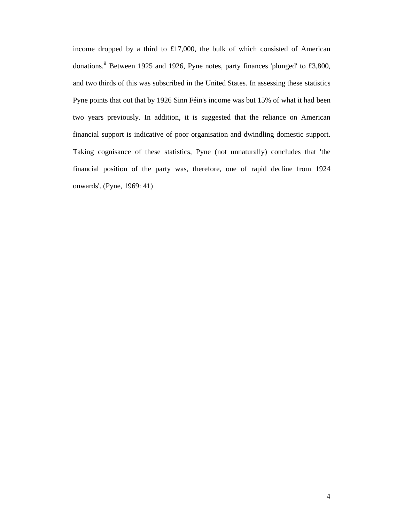income dropped by a third to £17,000, the bulk of which consisted of American donations.<sup>ii</sup> Between 1925 and 1926, Pyne notes, party finances 'plunged' to £3,800, and two thirds of this was subscribed in the United States. In assessing these statistics Pyne points that out that by 1926 Sinn Féin's income was but 15% of what it had been two years previously. In addition, it is suggested that the reliance on American financial support is indicative of poor organisation and dwindling domestic support. Taking cognisance of these statistics, Pyne (not unnaturally) concludes that 'the financial position of the party was, therefore, one of rapid decline from 1924 onwards'. (Pyne, 1969: 41)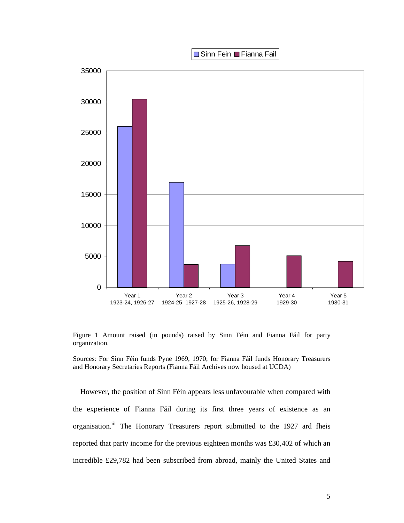■ Sinn Fein ■ Fianna Fail



Figure 1 Amount raised (in pounds) raised by Sinn Féin and Fianna Fáil for party organization.

Sources: For Sinn Féin funds Pyne 1969, 1970; for Fianna Fáil funds Honorary Treasurers and Honorary Secretaries Reports (Fianna Fáil Archives now housed at UCDA)

 However, the position of Sinn Féin appears less unfavourable when compared with the experience of Fianna Fáil during its first three years of existence as an organisation.<sup>iii</sup> The Honorary Treasurers report submitted to the 1927 ard fheis reported that party income for the previous eighteen months was £30,402 of which an incredible £29,782 had been subscribed from abroad, mainly the United States and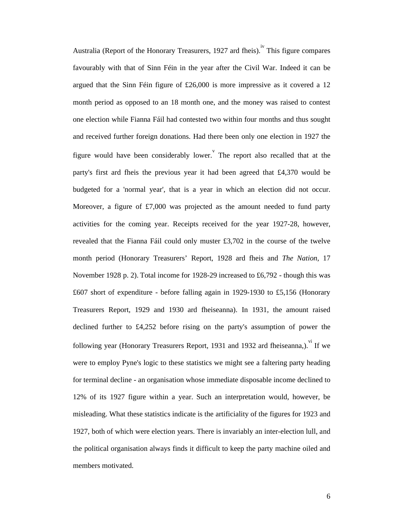Australia (Report of the Honorary Treasurers, 1927 ard fheis). This figure compares favourably with that of Sinn Féin in the year after the Civil War. Indeed it can be argued that the Sinn Féin figure of £26,000 is more impressive as it covered a 12 month period as opposed to an 18 month one, and the money was raised to contest one election while Fianna Fáil had contested two within four months and thus sought and received further foreign donations. Had there been only one election in 1927 the figure would have been considerably lower. The report also recalled that at the party's first ard fheis the previous year it had been agreed that £4,370 would be budgeted for a 'normal year', that is a year in which an election did not occur. Moreover, a figure of £7,000 was projected as the amount needed to fund party activities for the coming year. Receipts received for the year 1927-28, however, revealed that the Fianna Fáil could only muster £3,702 in the course of the twelve month period (Honorary Treasurers' Report, 1928 ard fheis and *The Nation*, 17 November 1928 p. 2). Total income for 1928-29 increased to £6,792 - though this was £607 short of expenditure - before falling again in 1929-1930 to £5,156 (Honorary Treasurers Report, 1929 and 1930 ard fheiseanna). In 1931, the amount raised declined further to £4,252 before rising on the party's assumption of power the following year (Honorary Treasurers Report, 1931 and 1932 ard fheiseanna,). If we were to employ Pyne's logic to these statistics we might see a faltering party heading for terminal decline - an organisation whose immediate disposable income declined to 12% of its 1927 figure within a year. Such an interpretation would, however, be misleading. What these statistics indicate is the artificiality of the figures for 1923 and 1927, both of which were election years. There is invariably an inter-election lull, and the political organisation always finds it difficult to keep the party machine oiled and members motivated.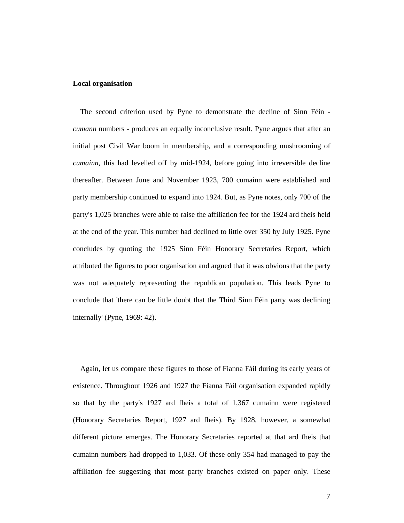### **Local organisation**

 The second criterion used by Pyne to demonstrate the decline of Sinn Féin *cumann* numbers - produces an equally inconclusive result. Pyne argues that after an initial post Civil War boom in membership, and a corresponding mushrooming of *cumainn*, this had levelled off by mid-1924, before going into irreversible decline thereafter. Between June and November 1923, 700 cumainn were established and party membership continued to expand into 1924. But, as Pyne notes, only 700 of the party's 1,025 branches were able to raise the affiliation fee for the 1924 ard fheis held at the end of the year. This number had declined to little over 350 by July 1925. Pyne concludes by quoting the 1925 Sinn Féin Honorary Secretaries Report, which attributed the figures to poor organisation and argued that it was obvious that the party was not adequately representing the republican population. This leads Pyne to conclude that 'there can be little doubt that the Third Sinn Féin party was declining internally' (Pyne, 1969: 42).

 Again, let us compare these figures to those of Fianna Fáil during its early years of existence. Throughout 1926 and 1927 the Fianna Fáil organisation expanded rapidly so that by the party's 1927 ard fheis a total of 1,367 cumainn were registered (Honorary Secretaries Report, 1927 ard fheis). By 1928, however, a somewhat different picture emerges. The Honorary Secretaries reported at that ard fheis that cumainn numbers had dropped to 1,033. Of these only 354 had managed to pay the affiliation fee suggesting that most party branches existed on paper only. These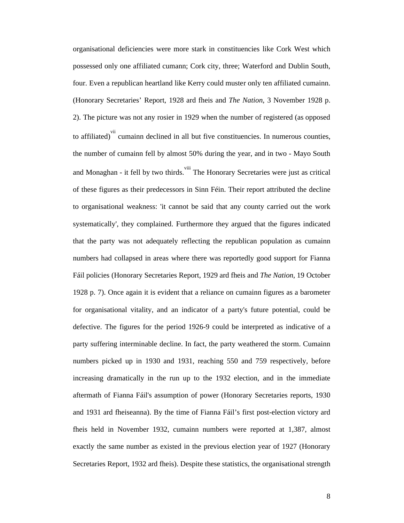organisational deficiencies were more stark in constituencies like Cork West which possessed only one affiliated cumann; Cork city, three; Waterford and Dublin South, four. Even a republican heartland like Kerry could muster only ten affiliated cumainn. (Honorary Secretaries' Report, 1928 ard fheis and *The Nation*, 3 November 1928 p. 2). The picture was not any rosier in 1929 when the number of registered (as opposed to affiliated)<sup>vii</sup> cumainn declined in all but five constituencies. In numerous counties, the number of cumainn fell by almost 50% during the year, and in two - Mayo South and Monaghan - it fell by two thirds. <sup>viii</sup> The Honorary Secretaries were just as critical of these figures as their predecessors in Sinn Féin. Their report attributed the decline to organisational weakness: 'it cannot be said that any county carried out the work systematically', they complained. Furthermore they argued that the figures indicated that the party was not adequately reflecting the republican population as cumainn numbers had collapsed in areas where there was reportedly good support for Fianna Fáil policies (Honorary Secretaries Report, 1929 ard fheis and *The Nation*, 19 October 1928 p. 7). Once again it is evident that a reliance on cumainn figures as a barometer for organisational vitality, and an indicator of a party's future potential, could be defective. The figures for the period 1926-9 could be interpreted as indicative of a party suffering interminable decline. In fact, the party weathered the storm. Cumainn numbers picked up in 1930 and 1931, reaching 550 and 759 respectively, before increasing dramatically in the run up to the 1932 election, and in the immediate aftermath of Fianna Fáil's assumption of power (Honorary Secretaries reports, 1930 and 1931 ard fheiseanna). By the time of Fianna Fáil's first post-election victory ard fheis held in November 1932, cumainn numbers were reported at 1,387, almost exactly the same number as existed in the previous election year of 1927 (Honorary Secretaries Report, 1932 ard fheis). Despite these statistics, the organisational strength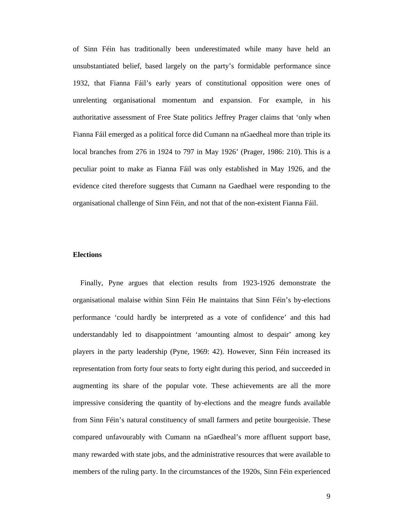of Sinn Féin has traditionally been underestimated while many have held an unsubstantiated belief, based largely on the party's formidable performance since 1932, that Fianna Fáil's early years of constitutional opposition were ones of unrelenting organisational momentum and expansion. For example, in his authoritative assessment of Free State politics Jeffrey Prager claims that 'only when Fianna Fáil emerged as a political force did Cumann na nGaedheal more than triple its local branches from 276 in 1924 to 797 in May 1926' (Prager, 1986: 210). This is a peculiar point to make as Fianna Fáil was only established in May 1926, and the evidence cited therefore suggests that Cumann na Gaedhael were responding to the organisational challenge of Sinn Féin, and not that of the non-existent Fianna Fáil.

## **Elections**

 Finally, Pyne argues that election results from 1923-1926 demonstrate the organisational malaise within Sinn Féin He maintains that Sinn Féin's by-elections performance 'could hardly be interpreted as a vote of confidence' and this had understandably led to disappointment 'amounting almost to despair' among key players in the party leadership (Pyne, 1969: 42). However, Sinn Féin increased its representation from forty four seats to forty eight during this period, and succeeded in augmenting its share of the popular vote. These achievements are all the more impressive considering the quantity of by-elections and the meagre funds available from Sinn Féin's natural constituency of small farmers and petite bourgeoisie. These compared unfavourably with Cumann na nGaedheal's more affluent support base, many rewarded with state jobs, and the administrative resources that were available to members of the ruling party. In the circumstances of the 1920s, Sinn Féin experienced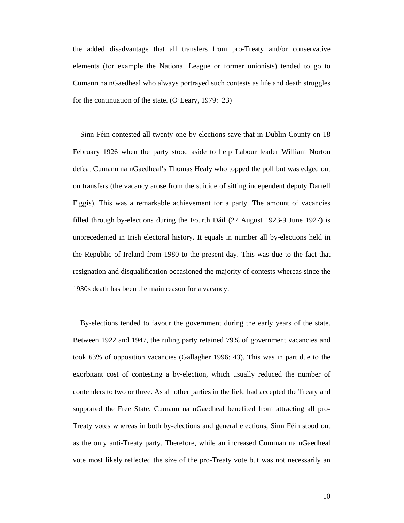the added disadvantage that all transfers from pro-Treaty and/or conservative elements (for example the National League or former unionists) tended to go to Cumann na nGaedheal who always portrayed such contests as life and death struggles for the continuation of the state. (O'Leary, 1979: 23)

 Sinn Féin contested all twenty one by-elections save that in Dublin County on 18 February 1926 when the party stood aside to help Labour leader William Norton defeat Cumann na nGaedheal's Thomas Healy who topped the poll but was edged out on transfers (the vacancy arose from the suicide of sitting independent deputy Darrell Figgis). This was a remarkable achievement for a party. The amount of vacancies filled through by-elections during the Fourth Dáil (27 August 1923-9 June 1927) is unprecedented in Irish electoral history. It equals in number all by-elections held in the Republic of Ireland from 1980 to the present day. This was due to the fact that resignation and disqualification occasioned the majority of contests whereas since the 1930s death has been the main reason for a vacancy.

 By-elections tended to favour the government during the early years of the state. Between 1922 and 1947, the ruling party retained 79% of government vacancies and took 63% of opposition vacancies (Gallagher 1996: 43). This was in part due to the exorbitant cost of contesting a by-election, which usually reduced the number of contenders to two or three. As all other parties in the field had accepted the Treaty and supported the Free State, Cumann na nGaedheal benefited from attracting all pro-Treaty votes whereas in both by-elections and general elections, Sinn Féin stood out as the only anti-Treaty party. Therefore, while an increased Cumman na nGaedheal vote most likely reflected the size of the pro-Treaty vote but was not necessarily an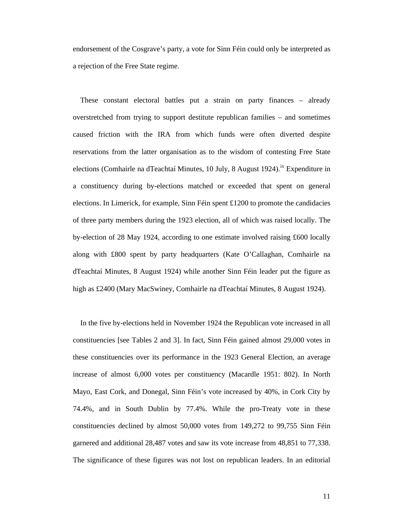endorsement of the Cosgrave's party, a vote for Sinn Féin could only be interpreted as a rejection of the Free State regime.

 These constant electoral battles put a strain on party finances – already overstretched from trying to support destitute republican families – and sometimes caused friction with the IRA from which funds were often diverted despite reservations from the latter organisation as to the wisdom of contesting Free State elections (Comhairle na dTeachtaí Minutes, 10 July, 8 August 1924).<sup>ix</sup> Expenditure in a constituency during by-elections matched or exceeded that spent on general elections. In Limerick, for example, Sinn Féin spent £1200 to promote the candidacies of three party members during the 1923 election, all of which was raised locally. The by-election of 28 May 1924, according to one estimate involved raising £600 locally along with £800 spent by party headquarters (Kate O'Callaghan, Comhairle na dTeachtaí Minutes, 8 August 1924) while another Sinn Féin leader put the figure as high as £2400 (Mary MacSwiney, Comhairle na dTeachtaí Minutes, 8 August 1924).

 In the five by-elections held in November 1924 the Republican vote increased in all constituencies [see Tables 2 and 3]. In fact, Sinn Féin gained almost 29,000 votes in these constituencies over its performance in the 1923 General Election, an average increase of almost 6,000 votes per constituency (Macardle 1951: 802). In North Mayo, East Cork, and Donegal, Sinn Féin's vote increased by 40%, in Cork City by 74.4%, and in South Dublin by 77.4%. While the pro-Treaty vote in these constituencies declined by almost 50,000 votes from 149,272 to 99,755 Sinn Féin garnered and additional 28,487 votes and saw its vote increase from 48,851 to 77,338. The significance of these figures was not lost on republican leaders. In an editorial

11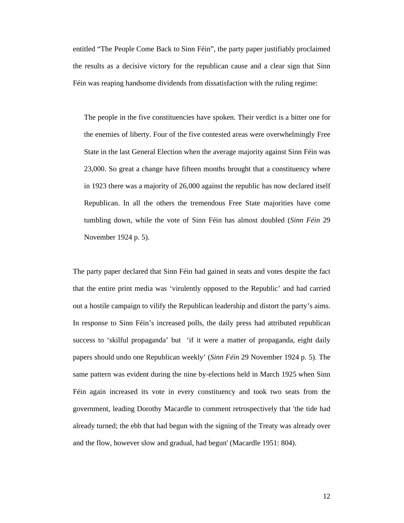entitled "The People Come Back to Sinn Féin", the party paper justifiably proclaimed the results as a decisive victory for the republican cause and a clear sign that Sinn Féin was reaping handsome dividends from dissatisfaction with the ruling regime:

The people in the five constituencies have spoken. Their verdict is a bitter one for the enemies of liberty. Four of the five contested areas were overwhelmingly Free State in the last General Election when the average majority against Sinn Féin was 23,000. So great a change have fifteen months brought that a constituency where in 1923 there was a majority of 26,000 against the republic has now declared itself Republican. In all the others the tremendous Free State majorities have come tumbling down, while the vote of Sinn Féin has almost doubled (*Sinn Féin* 29 November 1924 p. 5).

The party paper declared that Sinn Féin had gained in seats and votes despite the fact that the entire print media was 'virulently opposed to the Republic' and had carried out a hostile campaign to vilify the Republican leadership and distort the party's aims. In response to Sinn Féin's increased polls, the daily press had attributed republican success to 'skilful propaganda' but 'if it were a matter of propaganda, eight daily papers should undo one Republican weekly' (*Sinn Féin* 29 November 1924 p. 5). The same pattern was evident during the nine by-elections held in March 1925 when Sinn Féin again increased its vote in every constituency and took two seats from the government, leading Dorothy Macardle to comment retrospectively that 'the tide had already turned; the ebb that had begun with the signing of the Treaty was already over and the flow, however slow and gradual, had begun' (Macardle 1951: 804).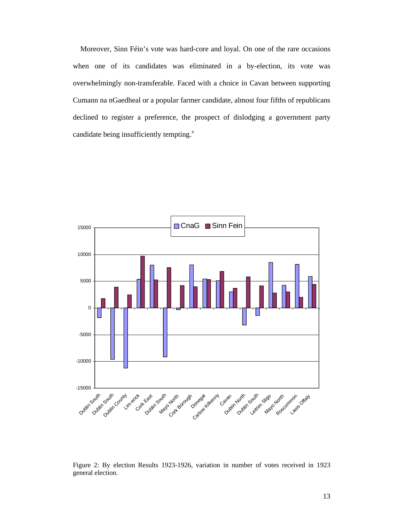Moreover, Sinn Féin's vote was hard-core and loyal. On one of the rare occasions when one of its candidates was eliminated in a by-election, its vote was overwhelmingly non-transferable. Faced with a choice in Cavan between supporting Cumann na nGaedheal or a popular farmer candidate, almost four fifths of republicans declined to register a preference, the prospect of dislodging a government party candidate being insufficiently tempting.<sup>x</sup>



Figure 2: By election Results 1923-1926, variation in number of votes received in 1923 general election.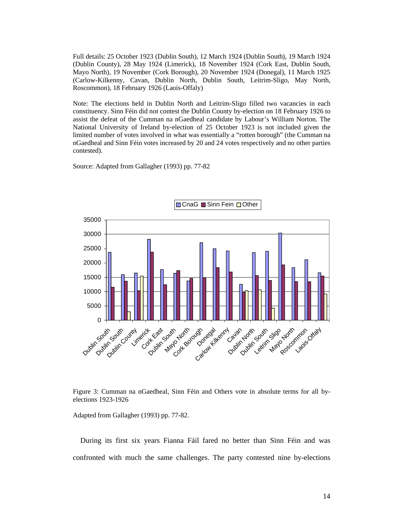Full details: 25 October 1923 (Dublin South), 12 March 1924 (Dublin South), 19 March 1924 (Dublin County), 28 May 1924 (Limerick), 18 November 1924 (Cork East, Dublin South, Mayo North), 19 November (Cork Borough), 20 November 1924 (Donegal), 11 March 1925 (Carlow-Kilkenny, Cavan, Dublin North, Dublin South, Leitrim-Sligo, May North, Roscommon), 18 February 1926 (Laois-Offaly)

Note: The elections held in Dublin North and Leitrim-Sligo filled two vacancies in each constituency. Sinn Féin did not contest the Dublin County by-election on 18 February 1926 to assist the defeat of the Cumman na nGaedheal candidate by Labour's William Norton. The National University of Ireland by-election of 25 October 1923 is not included given the limited number of votes involved in what was essentially a "rotten borough" (the Cumman na nGaedheal and Sinn Féin votes increased by 20 and 24 votes respectively and no other parties contested).

Source: Adapted from Gallagher (1993) pp. 77-82





Adapted from Gallagher (1993) pp. 77-82.

 During its first six years Fianna Fáil fared no better than Sinn Féin and was confronted with much the same challenges. The party contested nine by-elections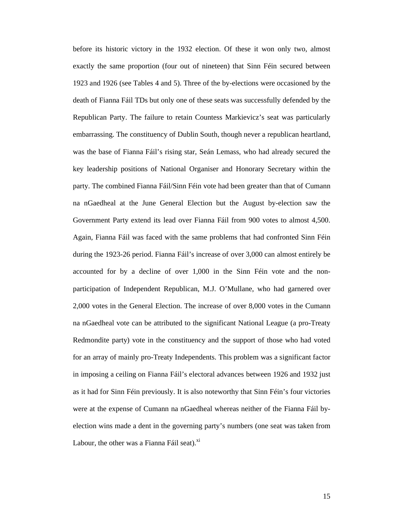before its historic victory in the 1932 election. Of these it won only two, almost exactly the same proportion (four out of nineteen) that Sinn Féin secured between 1923 and 1926 (see Tables 4 and 5). Three of the by-elections were occasioned by the death of Fianna Fáil TDs but only one of these seats was successfully defended by the Republican Party. The failure to retain Countess Markievicz's seat was particularly embarrassing. The constituency of Dublin South, though never a republican heartland, was the base of Fianna Fáil's rising star, Seán Lemass, who had already secured the key leadership positions of National Organiser and Honorary Secretary within the party. The combined Fianna Fáil/Sinn Féin vote had been greater than that of Cumann na nGaedheal at the June General Election but the August by-election saw the Government Party extend its lead over Fianna Fáil from 900 votes to almost 4,500. Again, Fianna Fáil was faced with the same problems that had confronted Sinn Féin during the 1923-26 period. Fianna Fáil's increase of over 3,000 can almost entirely be accounted for by a decline of over 1,000 in the Sinn Féin vote and the nonparticipation of Independent Republican, M.J. O'Mullane, who had garnered over 2,000 votes in the General Election. The increase of over 8,000 votes in the Cumann na nGaedheal vote can be attributed to the significant National League (a pro-Treaty Redmondite party) vote in the constituency and the support of those who had voted for an array of mainly pro-Treaty Independents. This problem was a significant factor in imposing a ceiling on Fianna Fáil's electoral advances between 1926 and 1932 just as it had for Sinn Féin previously. It is also noteworthy that Sinn Féin's four victories were at the expense of Cumann na nGaedheal whereas neither of the Fianna Fáil byelection wins made a dent in the governing party's numbers (one seat was taken from Labour, the other was a Fianna Fáil seat).<sup>xi</sup>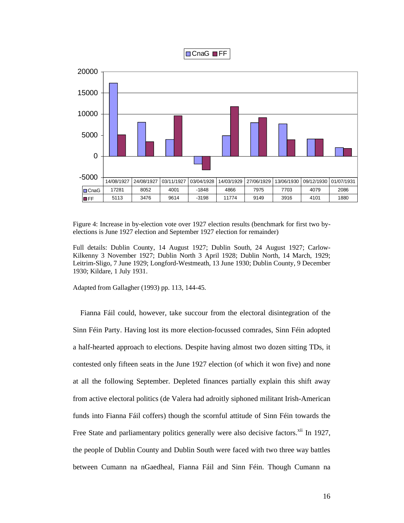



Figure 4: Increase in by-election vote over 1927 election results (benchmark for first two byelections is June 1927 election and September 1927 election for remainder)

Full details: Dublin County, 14 August 1927; Dublin South, 24 August 1927; Carlow-Kilkenny 3 November 1927; Dublin North 3 April 1928; Dublin North, 14 March, 1929; Leitrim-Sligo, 7 June 1929; Longford-Westmeath, 13 June 1930; Dublin County, 9 December 1930; Kildare, 1 July 1931.

Adapted from Gallagher (1993) pp. 113, 144-45.

 Fianna Fáil could, however, take succour from the electoral disintegration of the Sinn Féin Party. Having lost its more election-focussed comrades, Sinn Féin adopted a half-hearted approach to elections. Despite having almost two dozen sitting TDs, it contested only fifteen seats in the June 1927 election (of which it won five) and none at all the following September. Depleted finances partially explain this shift away from active electoral politics (de Valera had adroitly siphoned militant Irish-American funds into Fianna Fáil coffers) though the scornful attitude of Sinn Féin towards the Free State and parliamentary politics generally were also decisive factors.<sup>xii</sup> In 1927, the people of Dublin County and Dublin South were faced with two three way battles between Cumann na nGaedheal, Fianna Fáil and Sinn Féin. Though Cumann na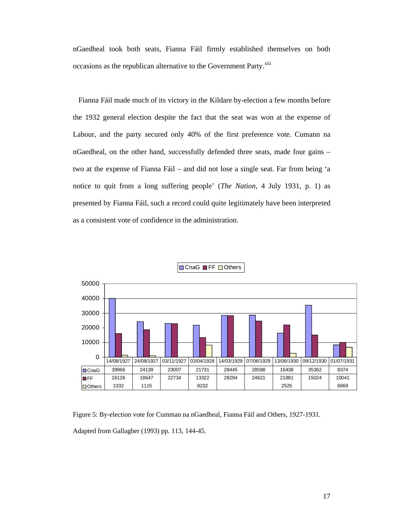nGaedheal took both seats, Fianna Fáil firmly established themselves on both occasions as the republican alternative to the Government Party.<sup>xiii</sup>

 Fianna Fáil made much of its victory in the Kildare by-election a few months before the 1932 general election despite the fact that the seat was won at the expense of Labour, and the party secured only 40% of the first preference vote. Cumann na nGaedheal, on the other hand, successfully defended three seats, made four gains – two at the expense of Fianna Fáil – and did not lose a single seat. Far from being 'a notice to quit from a long suffering people' (*The Nation*, 4 July 1931, p. 1) as presented by Fianna Fáil, such a record could quite legitimately have been interpreted as a consistent vote of confidence in the administration.



**OnaG** FF Others

Figure 5: By-election vote for Cumman na nGaedheal, Fianna Fáil and Others, 1927-1931.

Adapted from Gallagher (1993) pp. 113, 144-45.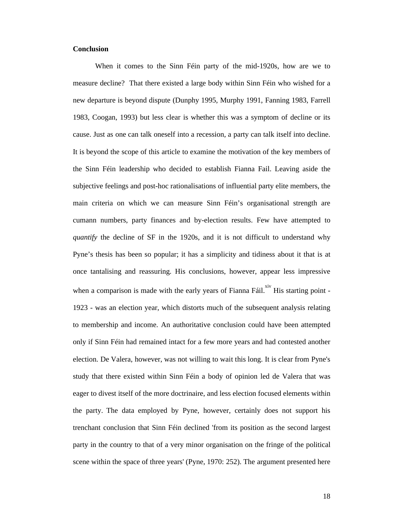### **Conclusion**

When it comes to the Sinn Féin party of the mid-1920s, how are we to measure decline? That there existed a large body within Sinn Féin who wished for a new departure is beyond dispute (Dunphy 1995, Murphy 1991, Fanning 1983, Farrell 1983, Coogan, 1993) but less clear is whether this was a symptom of decline or its cause. Just as one can talk oneself into a recession, a party can talk itself into decline. It is beyond the scope of this article to examine the motivation of the key members of the Sinn Féin leadership who decided to establish Fianna Fail. Leaving aside the subjective feelings and post-hoc rationalisations of influential party elite members, the main criteria on which we can measure Sinn Féin's organisational strength are cumann numbers, party finances and by-election results. Few have attempted to *quantify* the decline of SF in the 1920s, and it is not difficult to understand why Pyne's thesis has been so popular; it has a simplicity and tidiness about it that is at once tantalising and reassuring. His conclusions, however, appear less impressive when a comparison is made with the early years of Fianna Fáil.<sup>xiv</sup> His starting point -1923 - was an election year, which distorts much of the subsequent analysis relating to membership and income. An authoritative conclusion could have been attempted only if Sinn Féin had remained intact for a few more years and had contested another election. De Valera, however, was not willing to wait this long. It is clear from Pyne's study that there existed within Sinn Féin a body of opinion led de Valera that was eager to divest itself of the more doctrinaire, and less election focused elements within the party. The data employed by Pyne, however, certainly does not support his trenchant conclusion that Sinn Féin declined 'from its position as the second largest party in the country to that of a very minor organisation on the fringe of the political scene within the space of three years' (Pyne, 1970: 252). The argument presented here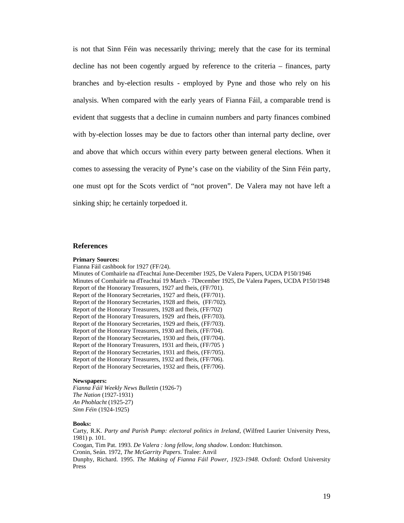is not that Sinn Féin was necessarily thriving; merely that the case for its terminal decline has not been cogently argued by reference to the criteria – finances, party branches and by-election results - employed by Pyne and those who rely on his analysis. When compared with the early years of Fianna Fáil, a comparable trend is evident that suggests that a decline in cumainn numbers and party finances combined with by-election losses may be due to factors other than internal party decline, over and above that which occurs within every party between general elections. When it comes to assessing the veracity of Pyne's case on the viability of the Sinn Féin party, one must opt for the Scots verdict of "not proven". De Valera may not have left a sinking ship; he certainly torpedoed it.

#### **References**

#### **Primary Sources:**

Fianna Fáil cashbook for 1927 (FF/24). Minutes of Comhairle na dTeachtaí June-December 1925, De Valera Papers, UCDA P150/1946 Minutes of Comhairle na dTeachtaí 19 March - 7December 1925, De Valera Papers, UCDA P150/1948 Report of the Honorary Treasurers, 1927 ard fheis, (FF/701). Report of the Honorary Secretaries, 1927 ard fheis, (FF/701). Report of the Honorary Secretaries, 1928 ard fheis, (FF/702). Report of the Honorary Treasurers, 1928 ard fheis, (FF/702) Report of the Honorary Treasurers, 1929 ard fheis, (FF/703). Report of the Honorary Secretaries, 1929 ard fheis, (FF/703). Report of the Honorary Treasurers, 1930 ard fheis, (FF/704). Report of the Honorary Secretaries, 1930 ard fheis, (FF/704). Report of the Honorary Treasurers, 1931 ard fheis, (FF/705 ) Report of the Honorary Secretaries, 1931 ard fheis, (FF/705). Report of the Honorary Treasurers, 1932 ard fheis, (FF/706). Report of the Honorary Secretaries, 1932 ard fheis, (FF/706).

#### **Newspapers:**

*Fianna Fáil Weekly News Bulletin* (1926-7) *The Nation* (1927-1931) *An Phoblacht* (1925-27) *Sinn Féin* (1924-1925)

#### **Books:**

Carty, R.K. *Party and Parish Pump: electoral politics in Ireland*, (Wilfred Laurier University Press, 1981) p. 101. Coogan, Tim Pat. 1993. *De Valera : long fellow, long shadow*. London: Hutchinson. Cronin, Seán. 1972, *The McGarrity Papers*. Tralee: Anvil Dunphy, Richard. 1995. *The Making of Fianna Fáil Power, 1923-1948*. Oxford: Oxford University Press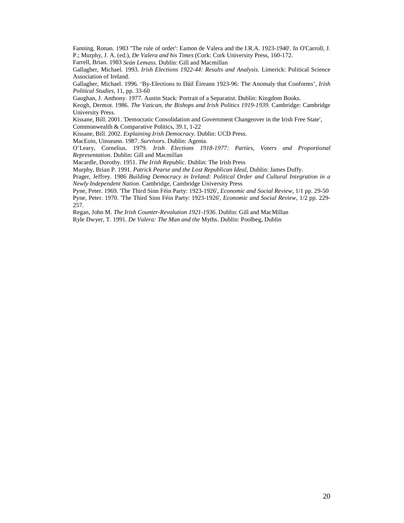Fanning, Ronan. 1983 ''The rule of order': Eamon de Valera and the I.R.A. 1923-1940'. In O'Carroll, J. P.; Murphy, J. A. (ed.), *De Valera and his Times* (Cork: Cork University Press, 160-172.

Farrell, Brian. 1983 *Seán Lemass*. Dublin: Gill and Macmillan

Gallagher, Michael. 1993. *Irish Elections 1922-44: Results and Analysis*. Limerick: Political Science Association of Ireland.

Gallagher, Michael. 1996. 'By-Elections to Dáil Éireann 1923-96: The Anomaly that Conforms', *Irish Political Studies*, 11, pp. 33-60

Gaughan, J. Anthony. 1977. Austin Stack: Portrait of a Separatist. Dublin: Kingdom Books.

Keogh, Dermot. 1986. *The Vatican, the Bishops and Irish Politics 1919-1939*. Cambridge: Cambridge University Press.

Kissane, Bill. 2001. 'Democratic Consolidation and Government Changeover in the Irish Free State',

Commonwealth & Comparative Politics, 39.1, 1-22

Kissane, Bill. 2002. *Explaining Irish Democracy.* Dublin: UCD Press.

MacEoin, Uinseann. 1987. *Survivors*. Dublin: Agenta.

O'Leary, Cornelius. 1979. *Irish Elections 1918-1977: Parties, Voters and Proportional Representation*. Dublin: Gill and Macmillan

Macardle, Dorothy. 1951. *The Irish Republic*. Dublin: The Irish Press

Murphy, Brian P. 1991. *Patrick Pearse and the Lost Republican Ideal*, Dublin: James Duffy.

Prager, Jeffrey. 1986 *Building Democracy in Ireland: Political Order and Cultural Integration in a Newly Independent Nation*. Cambridge, Cambridge University Press

Pyne, Peter. 1969. 'The Third Sinn Féin Party: 1923-1926', *Economic and Social Review*, 1/1 pp. 29-50 Pyne, Peter. 1970. 'The Third Sinn Féin Party: 1923-1926', *Economic and Social Review*, 1/2 pp. 229- 257.

Regan, John M. *The Irish Counter-Revolution 1921-1936*. Dublin: Gill and MacMillan

Ryle Dwyer, T. 1991. *De Valera: The Man and the* Myths. Dublin: Poolbeg, Dublin